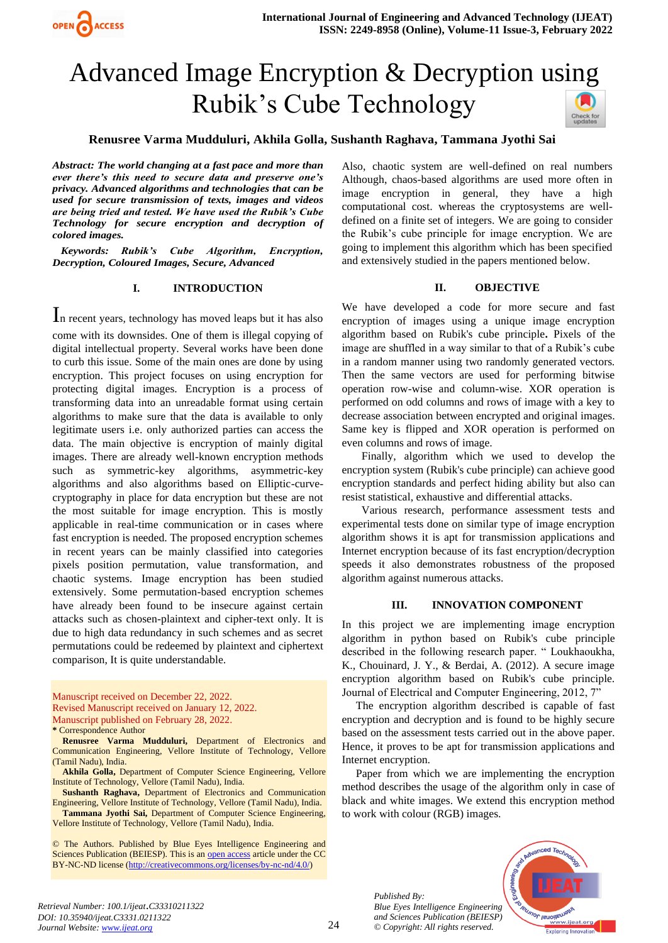

# Advanced Image Encryption & Decryption using Rubik's Cube Technology



## **Renusree Varma Mudduluri, Akhila Golla, Sushanth Raghava, Tammana Jyothi Sai**

*Abstract: The world changing at a fast pace and more than ever there's this need to secure data and preserve one's privacy. Advanced algorithms and technologies that can be used for secure transmission of texts, images and videos are being tried and tested. We have used the Rubik's Cube Technology for secure encryption and decryption of colored images.*

 *Keywords: Rubik's Cube Algorithm, Encryption, Decryption, Coloured Images, Secure, Advanced*

#### **I. INTRODUCTION**

In recent years, technology has moved leaps but it has also come with its downsides. One of them is illegal copying of digital intellectual property. Several works have been done to curb this issue. Some of the main ones are done by using encryption. This project focuses on using encryption for protecting digital images. Encryption is a process of transforming data into an unreadable format using certain algorithms to make sure that the data is available to only legitimate users i.e. only authorized parties can access the data. The main objective is encryption of mainly digital images. There are already well-known encryption methods such as symmetric-key algorithms, asymmetric-key algorithms and also algorithms based on Elliptic-curvecryptography in place for data encryption but these are not the most suitable for image encryption. This is mostly applicable in real-time communication or in cases where fast encryption is needed. The proposed encryption schemes in recent years can be mainly classified into categories pixels position permutation, value transformation, and chaotic systems. Image encryption has been studied extensively. Some permutation-based encryption schemes have already been found to be insecure against certain attacks such as chosen-plaintext and cipher-text only. It is due to high data redundancy in such schemes and as secret permutations could be redeemed by plaintext and ciphertext comparison, It is quite understandable.

Manuscript received on December 22, 2022. Revised Manuscript received on January 12, 2022. Manuscript published on February 28, 2022. **\*** Correspondence Author

**Renusree Varma Mudduluri,** Department of Electronics and Communication Engineering, Vellore Institute of Technology, Vellore (Tamil Nadu), India.

**Akhila Golla,** Department of Computer Science Engineering, Vellore Institute of Technology, Vellore (Tamil Nadu), India.

**Sushanth Raghava,** Department of Electronics and Communication Engineering, Vellore Institute of Technology, Vellore (Tamil Nadu), India.

**Tammana Jyothi Sai,** Department of Computer Science Engineering, Vellore Institute of Technology, Vellore (Tamil Nadu), India.

© The Authors. Published by Blue Eyes Intelligence Engineering and Sciences Publication (BEIESP). This is an [open access](https://www.openaccess.nl/en/open-publications) article under the CC BY-NC-ND license [\(http://creativecommons.org/licenses/by-nc-nd/4.0/\)](http://creativecommons.org/licenses/by-nc-nd/4.0/)

Also, chaotic system are well-defined on real numbers Although, chaos-based algorithms are used more often in image encryption in general, they have a high computational cost. whereas the cryptosystems are welldefined on a finite set of integers. We are going to consider the Rubik's cube principle for image encryption. We are going to implement this algorithm which has been specified and extensively studied in the papers mentioned below.

#### **II. OBJECTIVE**

We have developed a code for more secure and fast encryption of images using a unique image encryption algorithm based on Rubik's cube principle**.** Pixels of the image are shuffled in a way similar to that of a Rubik's cube in a random manner using two randomly generated vectors. Then the same vectors are used for performing bitwise operation row-wise and column-wise. XOR operation is performed on odd columns and rows of image with a key to decrease association between encrypted and original images. Same key is flipped and XOR operation is performed on even columns and rows of image.

 Finally, algorithm which we used to develop the encryption system (Rubik's cube principle) can achieve good encryption standards and perfect hiding ability but also can resist statistical, exhaustive and differential attacks.

 Various research, performance assessment tests and experimental tests done on similar type of image encryption algorithm shows it is apt for transmission applications and Internet encryption because of its fast encryption/decryption speeds it also demonstrates robustness of the proposed algorithm against numerous attacks.

#### **III. INNOVATION COMPONENT**

In this project we are implementing image encryption algorithm in python based on Rubik's cube principle described in the following research paper. " Loukhaoukha, K., Chouinard, J. Y., & Berdai, A. (2012). A secure image encryption algorithm based on Rubik's cube principle. Journal of Electrical and Computer Engineering, 2012, 7"

 The encryption algorithm described is capable of fast encryption and decryption and is found to be highly secure based on the assessment tests carried out in the above paper. Hence, it proves to be apt for transmission applications and Internet encryption.

 Paper from which we are implementing the encryption method describes the usage of the algorithm only in case of black and white images. We extend this encryption method to work with colour (RGB) images.

> *Published By: Blue Eyes Intelligence Engineering and Sciences Publication (BEIESP) © Copyright: All rights reserved.*

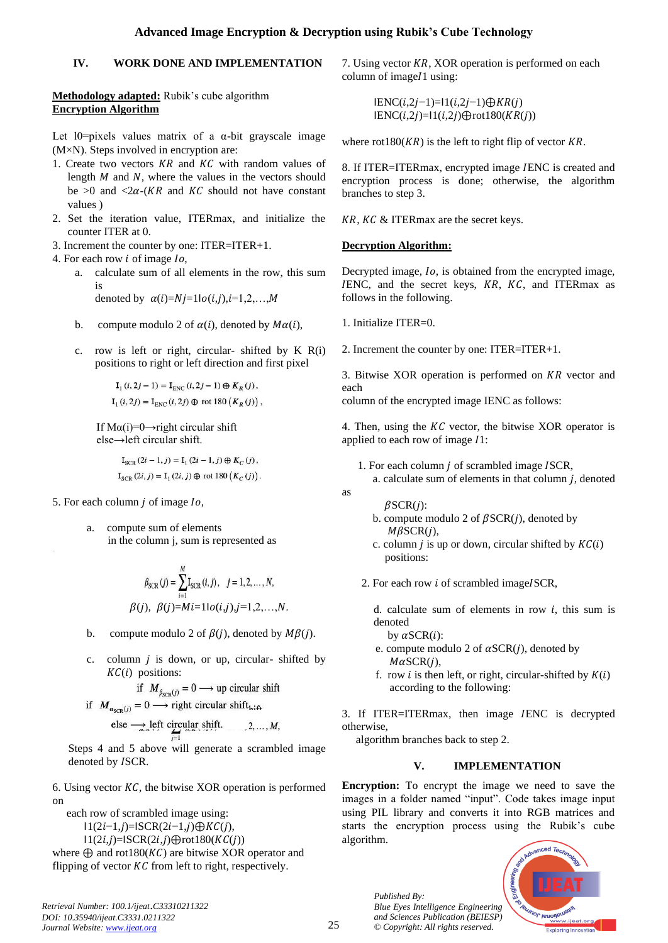## **Advanced Image Encryption & Decryption using Rubik's Cube Technology**

## **IV. WORK DONE AND IMPLEMENTATION**

## **Methodology adapted:** Rubik's cube algorithm **Encryption Algorithm**

Let  $10$ =pixels values matrix of a  $\alpha$ -bit grayscale image (M×N). Steps involved in encryption are:

- 1. Create two vectors  $KR$  and  $KC$  with random values of length  $M$  and  $N$ , where the values in the vectors should be  $>0$  and  $< 2\alpha$ -(*KR* and *KC* should not have constant values )
- 2. Set the iteration value, ITERmax, and initialize the counter ITER at 0.
- 3. Increment the counter by one: ITER=ITER+1.
- 4. For each row  $i$  of image  $I_0$ ,
	- a. calculate sum of all elements in the row, this sum is

denoted by  $\alpha(i)=Nj=1|o(i,j),i=1,2,...,M$ 

- b. compute modulo 2 of  $\alpha(i)$ , denoted by  $M\alpha(i)$ ,
- c. row is left or right, circular- shifted by  $K R(i)$ positions to right or left direction and first pixel

$$
\begin{aligned} \mathbf{I}_{1}\left(i,2j-1\right)&=\mathbf{I}_{\text{ENC}}\left(i,2j-1\right)\oplus K_{R}\left(j\right),\\ \mathbf{I}_{1}\left(i,2j\right)&=\mathbf{I}_{\text{ENC}}\left(i,2j\right)\oplus\text{rot}~180\left(K_{R}\left(j\right)\right), \end{aligned}
$$

If  $Ma(i)=0 \rightarrow$ right circular shift else→left circular shift.

> $I_{SCR}$   $(2i - 1, j) = I_1 (2i - 1, j) \oplus K_C (j)$ ,  $I_{SCR}(2i, j) = I_1(2i, j) \oplus$  rot 180  $(K_C(j))$ .

- 5. For each column  *of image*  $*lo*$ *,* 
	- a. compute sum of elements in the column j, sum is represented as

$$
\beta_{\text{SCR}}(j) = \sum_{i=1}^{M} \mathbf{I}_{\text{SCR}}(i, j), \quad j = 1, 2, ..., N,
$$
  

$$
\beta(j), \ \beta(j) = Mi = 11o(i, j), j = 1, 2, ..., N.
$$

- b. compute modulo 2 of  $\beta(i)$ , denoted by  $M\beta(i)$ .
- c. column  $j$  is down, or up, circular-shifted by  $KC(i)$  positions:

if 
$$
M_{\beta_{\text{SCP}}(j)} = 0 \longrightarrow
$$
 up circular shift

if  $M_{a_{\text{SCR}}(j)} = 0 \longrightarrow$  right circular shift<sub>hift</sub>

$$
\text{Use } \longrightarrow \text{left } \text{circular shift.} \qquad 2, \dots, M,
$$

Steps 4 and 5 above will generate a scrambled image denoted by ISCR.

6. Using vector  $KC$ , the bitwise XOR operation is performed on

 each row of scrambled image using:  $1(2i-1,j)=$ ISCR $(2i-1,j)$ ⊕KC $(j)$ ,  $11(2i,j)=$ ISCR $(2i,j)$  $\bigoplus$ rot $180(KC(j))$ 

where  $\bigoplus$  and rot180(KC) are bitwise XOR operator and flipping of vector  $KC$  from left to right, respectively.

*Retrieval Number: 100.1/ijeat*.*C33310211322 DOI: 10.35940/ijeat.C3331.0211322 Journal Website[: www.ijeat.org](http://www.ijeat.org/)* 

7. Using vector  $KR$ , XOR operation is performed on each column of image $1$  using:

> $IENC(i,2j-1)=1(i,2j-1)$ ⊕ $KR(j)$  $IENC(i,2j)=1(i,2j) \bigoplus rot180(KR(j))$

where  $rot180(KR)$  is the left to right flip of vector  $KR$ .

8. If ITER=ITERmax, encrypted image ENC is created and encryption process is done; otherwise, the algorithm branches to step 3.

 $KR, KC & ITERmax$  are the secret keys.

## **Decryption Algorithm:**

Decrypted image, *Io*, is obtained from the encrypted image,  $IENC$ , and the secret keys,  $KR$ ,  $KC$ , and ITERmax as follows in the following.

1. Initialize ITER=0.

2. Increment the counter by one: ITER=ITER+1.

3. Bitwise XOR operation is performed on  $KR$  vector and each

column of the encrypted image IENC as follows:

4. Then, using the  $KC$  vector, the bitwise  $XOR$  operator is applied to each row of image  $I1$ :

- 1. For each column  $j$  of scrambled image ISCR,
	- a. calculate sum of elements in that column  $j$ , denoted

 $\beta$ SCR $(j)$ :

as

- b. compute modulo 2 of  $\beta$ SCR(*j*), denoted by  $M\beta$ SCR $(i)$ ,
- c. column  $j$  is up or down, circular shifted by  $KC(i)$ positions:
- 2. For each row  $i$  of scrambled imageISCR,

d. calculate sum of elements in row  $i$ , this sum is denoted

by  $\alpha$ SCR $(i)$ :

- e. compute modulo 2 of  $\alpha$ SCR(*j*), denoted by  $M\alpha$ SCR $(j)$ ,
- f. row *i* is then left, or right, circular-shifted by  $K(i)$ according to the following:

3. If ITER=ITERmax, then image ENC is decrypted otherwise,

algorithm branches back to step 2.

## **V. IMPLEMENTATION**

**Encryption:** To encrypt the image we need to save the images in a folder named "input". Code takes image input using PIL library and converts it into RGB matrices and starts the encryption process using the Rubik's cube algorithm.

> *Published By: Blue Eyes Intelligence Engineering and Sciences Publication (BEIESP) © Copyright: All rights reserved.*

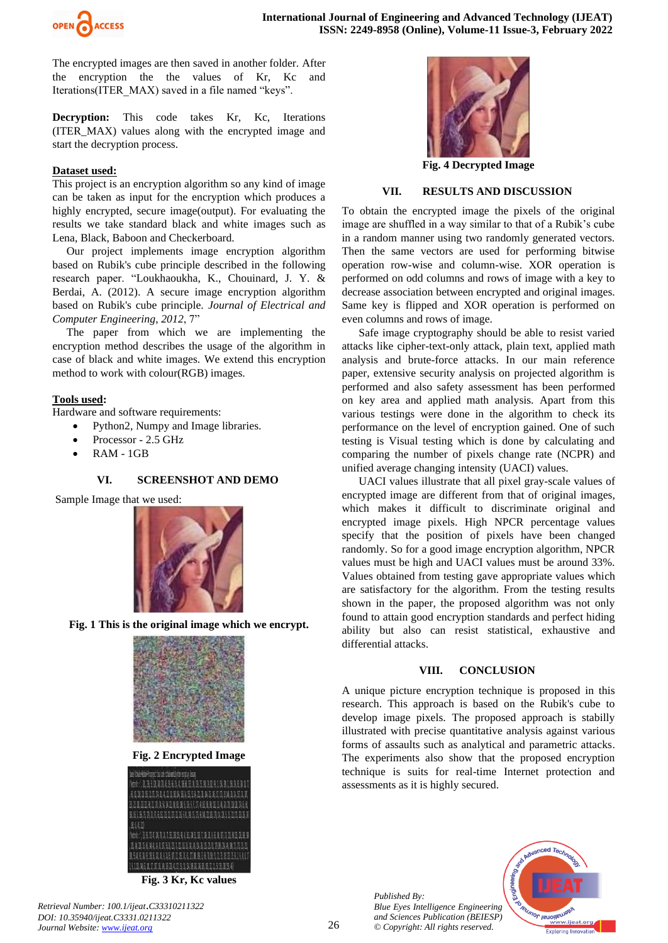

The encrypted images are then saved in another folder. After the encryption the the values of Kr, Kc and Iterations(ITER\_MAX) saved in a file named "keys".

**Decryption:** This code takes Kr, Kc, Iterations (ITER\_MAX) values along with the encrypted image and start the decryption process.

#### **Dataset used:**

This project is an encryption algorithm so any kind of image can be taken as input for the encryption which produces a highly encrypted, secure image(output). For evaluating the results we take standard black and white images such as Lena, Black, Baboon and Checkerboard.

 Our project implements image encryption algorithm based on Rubik's cube principle described in the following research paper. "Loukhaoukha, K., Chouinard, J. Y. & Berdai, A. (2012). A secure image encryption algorithm based on Rubik's cube principle. *Journal of Electrical and Computer Engineering*, *2012*, 7"

 The paper from which we are implementing the encryption method describes the usage of the algorithm in case of black and white images. We extend this encryption method to work with colour(RGB) images.

#### **Tools used:**

Hardware and software requirements:

- Python2, Numpy and Image libraries.
	- Processor 2.5 GHz
	- RAM 1GB

#### **VI. SCREENSHOT AND DEMO**

Sample Image that we used:



**Fig. 1 This is the original image which we encrypt.**



**Fig. 2 Encrypted Image**

| wheeler is neutran                    |
|---------------------------------------|
| Teblo: 医马里亚美国毛岛无法毛美国克莱茨及美国里克亚岛美国马克利美国 |
| 82235123123388835333383523533335      |
| 在近期及及先期及及先期的复数形式有限的人的复数形式 医抗原性 医皮肤    |
| : 医肠注意氏试验检尿血及过氧氨基氮试验医尿素试验 医高氯溴医氯四戊医氯汞 |
| 主任团                                   |
| 他的,是玉压毛美国美国高温电导机调查新闻重新报酬用语的高压调谐       |
| ,當就說我是這是我們的是我們也是是是我的是我們的是我們的是我們的是我    |
| 强烈者告制任团系统统法为后国国民或者法国高民党者宣传国民医国支配法制作   |
| 1112461652224011134825215233          |

**Fig. 3 Kr, Kc values**



**Fig. 4 Decrypted Image**

#### **VII. RESULTS AND DISCUSSION**

To obtain the encrypted image the pixels of the original image are shuffled in a way similar to that of a Rubik's cube in a random manner using two randomly generated vectors. Then the same vectors are used for performing bitwise operation row-wise and column-wise. XOR operation is performed on odd columns and rows of image with a key to decrease association between encrypted and original images. Same key is flipped and XOR operation is performed on even columns and rows of image.

 Safe image cryptography should be able to resist varied attacks like cipher-text-only attack, plain text, applied math analysis and brute-force attacks. In our main reference paper, extensive security analysis on projected algorithm is performed and also safety assessment has been performed on key area and applied math analysis. Apart from this various testings were done in the algorithm to check its performance on the level of encryption gained. One of such testing is Visual testing which is done by calculating and comparing the number of pixels change rate (NCPR) and unified average changing intensity (UACI) values.

 UACI values illustrate that all pixel gray-scale values of encrypted image are different from that of original images, which makes it difficult to discriminate original and encrypted image pixels. High NPCR percentage values specify that the position of pixels have been changed randomly. So for a good image encryption algorithm, NPCR values must be high and UACI values must be around 33%. Values obtained from testing gave appropriate values which are satisfactory for the algorithm. From the testing results shown in the paper, the proposed algorithm was not only found to attain good encryption standards and perfect hiding ability but also can resist statistical, exhaustive and differential attacks.

#### **VIII. CONCLUSION**

A unique picture encryption technique is proposed in this research. This approach is based on the Rubik's cube to develop image pixels. The proposed approach is stabilly illustrated with precise quantitative analysis against various forms of assaults such as analytical and parametric attacks. The experiments also show that the proposed encryption technique is suits for real-time Internet protection and assessments as it is highly secured.

> *Published By: Blue Eyes Intelligence Engineering and Sciences Publication (BEIESP) © Copyright: All rights reserved.*



*Retrieval Number: 100.1/ijeat*.*C33310211322 DOI: 10.35940/ijeat.C3331.0211322 Journal Website[: www.ijeat.org](http://www.ijeat.org/)*